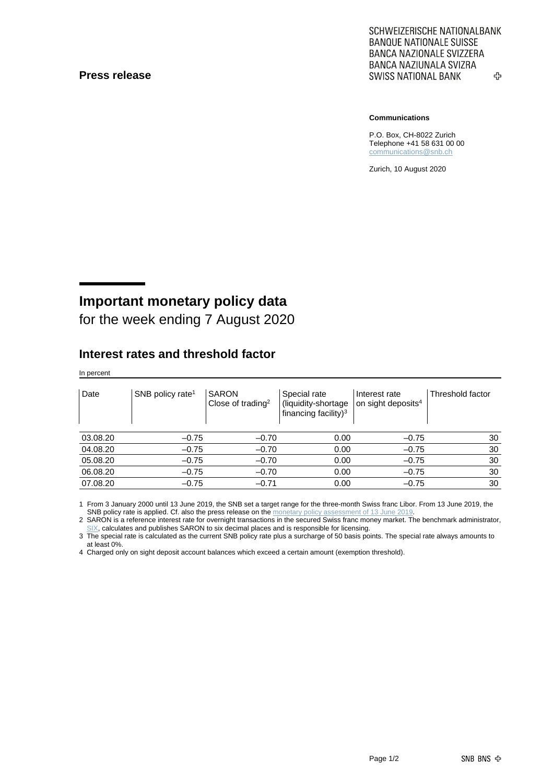#### **Press release**

SCHWEIZERISCHE NATIONALBANK **BANQUE NATIONALE SUISSE BANCA NAZIONALE SVIZZERA** BANCA NAZIUNALA SVIZRA **SWISS NATIONAL BANK** ኇ

**Communications**

P.O. Box, CH-8022 Zurich Telephone +41 58 631 00 00 [communications@snb.ch](mailto:communications@snb.ch)

Zurich, 10 August 2020

# **Important monetary policy data**

for the week ending 7 August 2020

#### **Interest rates and threshold factor**

In percent

| Date     | SNB policy rate <sup>1</sup> | <b>SARON</b><br>Close of trading <sup>2</sup> | Special rate<br>(liquidity-shortage<br>financing facility) <sup>3</sup> | Interest rate<br>on sight deposits <sup>4</sup> | Threshold factor |
|----------|------------------------------|-----------------------------------------------|-------------------------------------------------------------------------|-------------------------------------------------|------------------|
| 03.08.20 | $-0.75$                      | $-0.70$                                       | 0.00                                                                    | $-0.75$                                         | 30               |
| 04.08.20 | $-0.75$                      | $-0.70$                                       | 0.00                                                                    | $-0.75$                                         | 30               |
| 05.08.20 | $-0.75$                      | $-0.70$                                       | 0.00                                                                    | $-0.75$                                         | 30               |
| 06.08.20 | $-0.75$                      | $-0.70$                                       | 0.00                                                                    | $-0.75$                                         | 30               |
| 07.08.20 | $-0.75$                      | $-0.71$                                       | 0.00                                                                    | $-0.75$                                         | 30               |

1 From 3 January 2000 until 13 June 2019, the SNB set a target range for the three-month Swiss franc Libor. From 13 June 2019, the SNB policy rate is applied. Cf. also the press release on th[e monetary policy assessment of 13](https://www.snb.ch/en/mmr/reference/pre_20190613/source/pre_20190613.en.pdf) June 201

2 SARON is a reference interest rate for overnight transactions in the secured Swiss franc money market. The benchmark administrator, [SIX,](https://www.six-group.com/exchanges/indices/data_centre/swiss_reference_rates/reference_rates_en.html) calculates and publishes SARON to six decimal places and is responsible for licensing.

3 The special rate is calculated as the current SNB policy rate plus a surcharge of 50 basis points. The special rate always amounts to at least 0%.

4 Charged only on sight deposit account balances which exceed a certain amount (exemption threshold).